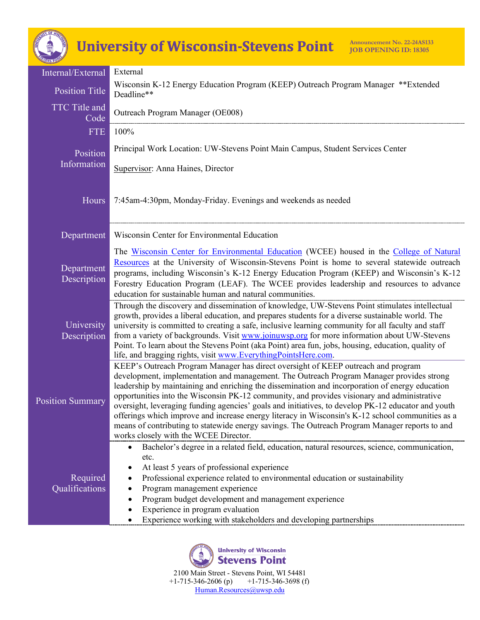## **University of Wisconsin-Stevens Point**

| Internal/External          | External                                                                                                                                                                                                                                                                                                                                                                                                                                                                                                                                                                                                                                                                                                                             |
|----------------------------|--------------------------------------------------------------------------------------------------------------------------------------------------------------------------------------------------------------------------------------------------------------------------------------------------------------------------------------------------------------------------------------------------------------------------------------------------------------------------------------------------------------------------------------------------------------------------------------------------------------------------------------------------------------------------------------------------------------------------------------|
| <b>Position Title</b>      | Wisconsin K-12 Energy Education Program (KEEP) Outreach Program Manager **Extended<br>Deadline**                                                                                                                                                                                                                                                                                                                                                                                                                                                                                                                                                                                                                                     |
| TTC Title and<br>Code      | Outreach Program Manager (OE008)                                                                                                                                                                                                                                                                                                                                                                                                                                                                                                                                                                                                                                                                                                     |
| <b>FTE</b>                 | 100%                                                                                                                                                                                                                                                                                                                                                                                                                                                                                                                                                                                                                                                                                                                                 |
| Position<br>Information    | Principal Work Location: UW-Stevens Point Main Campus, Student Services Center                                                                                                                                                                                                                                                                                                                                                                                                                                                                                                                                                                                                                                                       |
| Hours                      | Supervisor: Anna Haines, Director<br>7:45am-4:30pm, Monday-Friday. Evenings and weekends as needed                                                                                                                                                                                                                                                                                                                                                                                                                                                                                                                                                                                                                                   |
| Department                 | Wisconsin Center for Environmental Education                                                                                                                                                                                                                                                                                                                                                                                                                                                                                                                                                                                                                                                                                         |
| Department<br>Description  | The Wisconsin Center for Environmental Education (WCEE) housed in the College of Natural<br>Resources at the University of Wisconsin-Stevens Point is home to several statewide outreach<br>programs, including Wisconsin's K-12 Energy Education Program (KEEP) and Wisconsin's K-12<br>Forestry Education Program (LEAF). The WCEE provides leadership and resources to advance<br>education for sustainable human and natural communities.                                                                                                                                                                                                                                                                                        |
| University<br>Description  | Through the discovery and dissemination of knowledge, UW-Stevens Point stimulates intellectual<br>growth, provides a liberal education, and prepares students for a diverse sustainable world. The<br>university is committed to creating a safe, inclusive learning community for all faculty and staff<br>from a variety of backgrounds. Visit www.joinuwsp.org for more information about UW-Stevens<br>Point. To learn about the Stevens Point (aka Point) area fun, jobs, housing, education, quality of<br>life, and bragging rights, visit www.EverythingPointsHere.com.                                                                                                                                                      |
| <b>Position Summary</b>    | KEEP's Outreach Program Manager has direct oversight of KEEP outreach and program<br>development, implementation and management. The Outreach Program Manager provides strong<br>leadership by maintaining and enriching the dissemination and incorporation of energy education<br>opportunities into the Wisconsin PK-12 community, and provides visionary and administrative<br>oversight, leveraging funding agencies' goals and initiatives, to develop PK-12 educator and youth<br>offerings which improve and increase energy literacy in Wisconsin's K-12 school communities as a<br>means of contributing to statewide energy savings. The Outreach Program Manager reports to and<br>works closely with the WCEE Director. |
| Required<br>Qualifications | Bachelor's degree in a related field, education, natural resources, science, communication,<br>$\bullet$<br>etc.<br>At least 5 years of professional experience<br>٠<br>Professional experience related to environmental education or sustainability<br>Program management experience<br>Program budget development and management experience<br>Experience in program evaluation<br>٠<br>Experience working with stakeholders and developing partnerships                                                                                                                                                                                                                                                                           |

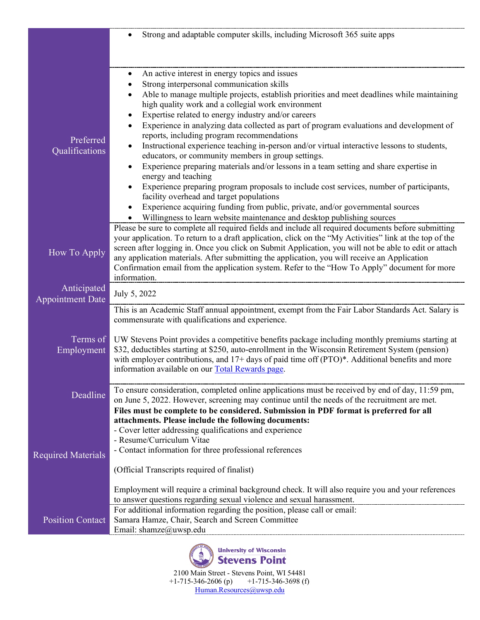|                                        | Strong and adaptable computer skills, including Microsoft 365 suite apps<br>$\bullet$                                                                                                                 |
|----------------------------------------|-------------------------------------------------------------------------------------------------------------------------------------------------------------------------------------------------------|
|                                        |                                                                                                                                                                                                       |
|                                        |                                                                                                                                                                                                       |
|                                        | An active interest in energy topics and issues<br>$\bullet$                                                                                                                                           |
|                                        | Strong interpersonal communication skills                                                                                                                                                             |
|                                        | Able to manage multiple projects, establish priorities and meet deadlines while maintaining<br>high quality work and a collegial work environment                                                     |
|                                        | Expertise related to energy industry and/or careers<br>٠                                                                                                                                              |
| Preferred                              | Experience in analyzing data collected as part of program evaluations and development of<br>$\bullet$<br>reports, including program recommendations                                                   |
| Qualifications                         | Instructional experience teaching in-person and/or virtual interactive lessons to students,<br>educators, or community members in group settings.                                                     |
|                                        | Experience preparing materials and/or lessons in a team setting and share expertise in<br>$\bullet$<br>energy and teaching                                                                            |
|                                        | Experience preparing program proposals to include cost services, number of participants,                                                                                                              |
|                                        | facility overhead and target populations<br>Experience acquiring funding from public, private, and/or governmental sources                                                                            |
|                                        | Willingness to learn website maintenance and desktop publishing sources                                                                                                                               |
|                                        | Please be sure to complete all required fields and include all required documents before submitting                                                                                                   |
|                                        | your application. To return to a draft application, click on the "My Activities" link at the top of the                                                                                               |
| How To Apply                           | screen after logging in. Once you click on Submit Application, you will not be able to edit or attach<br>any application materials. After submitting the application, you will receive an Application |
|                                        | Confirmation email from the application system. Refer to the "How To Apply" document for more                                                                                                         |
|                                        | information.                                                                                                                                                                                          |
| Anticipated<br><b>Appointment Date</b> | July 5, 2022                                                                                                                                                                                          |
|                                        | This is an Academic Staff annual appointment, exempt from the Fair Labor Standards Act. Salary is                                                                                                     |
|                                        | commensurate with qualifications and experience.                                                                                                                                                      |
|                                        | Terms of UW Stevens Point provides a competitive benefits package including monthly premiums starting at                                                                                              |
| Employment                             | \$32, deductibles starting at \$250, auto-enrollment in the Wisconsin Retirement System (pension)                                                                                                     |
|                                        | with employer contributions, and $17+$ days of paid time off (PTO)*. Additional benefits and more                                                                                                     |
|                                        | information available on our Total Rewards page.                                                                                                                                                      |
| Deadline                               | To ensure consideration, completed online applications must be received by end of day, 11:59 pm,                                                                                                      |
|                                        | on June 5, 2022. However, screening may continue until the needs of the recruitment are met.                                                                                                          |
|                                        | Files must be complete to be considered. Submission in PDF format is preferred for all                                                                                                                |
|                                        | attachments. Please include the following documents:<br>- Cover letter addressing qualifications and experience                                                                                       |
|                                        | - Resume/Curriculum Vitae                                                                                                                                                                             |
| <b>Required Materials</b>              | - Contact information for three professional references                                                                                                                                               |
|                                        | (Official Transcripts required of finalist)                                                                                                                                                           |
|                                        |                                                                                                                                                                                                       |
|                                        | Employment will require a criminal background check. It will also require you and your references                                                                                                     |
|                                        | to answer questions regarding sexual violence and sexual harassment.<br>For additional information regarding the position, please call or email:                                                      |
| <b>Position Contact</b>                | Samara Hamze, Chair, Search and Screen Committee                                                                                                                                                      |
|                                        | Email: shamze@uwsp.edu                                                                                                                                                                                |



2100 Main Street - Stevens Point, WI 54481 +1-715-346-2606 (p) +1-715-346-3698 (f) [Human.Resources@uwsp.edu](mailto:Human.Resources@uwsp.edu)